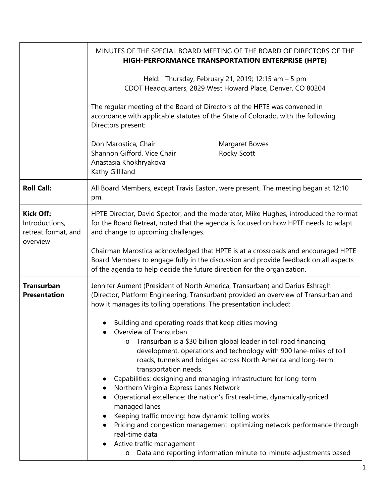|                                                                       | MINUTES OF THE SPECIAL BOARD MEETING OF THE BOARD OF DIRECTORS OF THE<br>HIGH-PERFORMANCE TRANSPORTATION ENTERPRISE (HPTE)                                                                                                                                                                                                                                                                                                                                                                                                                                                                                                                                                                                                                                                                                    |
|-----------------------------------------------------------------------|---------------------------------------------------------------------------------------------------------------------------------------------------------------------------------------------------------------------------------------------------------------------------------------------------------------------------------------------------------------------------------------------------------------------------------------------------------------------------------------------------------------------------------------------------------------------------------------------------------------------------------------------------------------------------------------------------------------------------------------------------------------------------------------------------------------|
|                                                                       | Held: Thursday, February 21, 2019; 12:15 am - 5 pm<br>CDOT Headquarters, 2829 West Howard Place, Denver, CO 80204                                                                                                                                                                                                                                                                                                                                                                                                                                                                                                                                                                                                                                                                                             |
|                                                                       | The regular meeting of the Board of Directors of the HPTE was convened in<br>accordance with applicable statutes of the State of Colorado, with the following<br>Directors present:                                                                                                                                                                                                                                                                                                                                                                                                                                                                                                                                                                                                                           |
|                                                                       | Don Marostica, Chair<br>Margaret Bowes<br>Shannon Gifford, Vice Chair<br>Rocky Scott<br>Anastasia Khokhryakova<br>Kathy Gilliland                                                                                                                                                                                                                                                                                                                                                                                                                                                                                                                                                                                                                                                                             |
| <b>Roll Call:</b>                                                     | All Board Members, except Travis Easton, were present. The meeting began at 12:10<br>pm.                                                                                                                                                                                                                                                                                                                                                                                                                                                                                                                                                                                                                                                                                                                      |
| <b>Kick Off:</b><br>Introductions,<br>retreat format, and<br>overview | HPTE Director, David Spector, and the moderator, Mike Hughes, introduced the format<br>for the Board Retreat, noted that the agenda is focused on how HPTE needs to adapt<br>and change to upcoming challenges.                                                                                                                                                                                                                                                                                                                                                                                                                                                                                                                                                                                               |
|                                                                       | Chairman Marostica acknowledged that HPTE is at a crossroads and encouraged HPTE<br>Board Members to engage fully in the discussion and provide feedback on all aspects<br>of the agenda to help decide the future direction for the organization.                                                                                                                                                                                                                                                                                                                                                                                                                                                                                                                                                            |
| <b>Transurban</b><br><b>Presentation</b>                              | Jennifer Aument (President of North America, Transurban) and Darius Eshragh<br>(Director, Platform Engineering, Transurban) provided an overview of Transurban and<br>how it manages its tolling operations. The presentation included:                                                                                                                                                                                                                                                                                                                                                                                                                                                                                                                                                                       |
|                                                                       | Building and operating roads that keep cities moving<br>Overview of Transurban<br>Transurban is a \$30 billion global leader in toll road financing,<br>$\circ$<br>development, operations and technology with 900 lane-miles of toll<br>roads, tunnels and bridges across North America and long-term<br>transportation needs.<br>Capabilities: designing and managing infrastructure for long-term<br>Northern Virginia Express Lanes Network<br>Operational excellence: the nation's first real-time, dynamically-priced<br>managed lanes<br>Keeping traffic moving: how dynamic tolling works<br>Pricing and congestion management: optimizing network performance through<br>real-time data<br>Active traffic management<br>Data and reporting information minute-to-minute adjustments based<br>$\circ$ |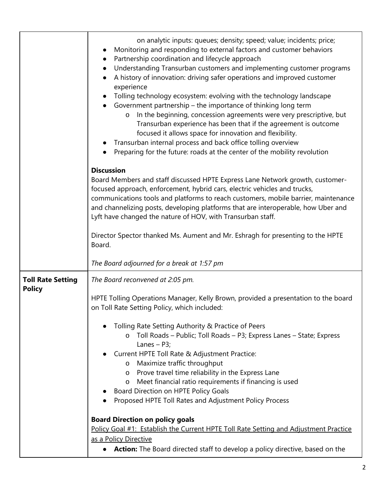|                                           | on analytic inputs: queues; density; speed; value; incidents; price;<br>Monitoring and responding to external factors and customer behaviors<br>Partnership coordination and lifecycle approach<br>Understanding Transurban customers and implementing customer programs<br>A history of innovation: driving safer operations and improved customer<br>experience<br>Tolling technology ecosystem: evolving with the technology landscape<br>Government partnership - the importance of thinking long term<br>In the beginning, concession agreements were very prescriptive, but<br>$\circ$<br>Transurban experience has been that if the agreement is outcome<br>focused it allows space for innovation and flexibility.<br>Transurban internal process and back office tolling overview<br>Preparing for the future: roads at the center of the mobility revolution<br><b>Discussion</b><br>Board Members and staff discussed HPTE Express Lane Network growth, customer-<br>focused approach, enforcement, hybrid cars, electric vehicles and trucks,<br>communications tools and platforms to reach customers, mobile barrier, maintenance<br>and channelizing posts, developing platforms that are interoperable, how Uber and<br>Lyft have changed the nature of HOV, with Transurban staff.<br>Director Spector thanked Ms. Aument and Mr. Eshragh for presenting to the HPTE<br>Board. |
|-------------------------------------------|-------------------------------------------------------------------------------------------------------------------------------------------------------------------------------------------------------------------------------------------------------------------------------------------------------------------------------------------------------------------------------------------------------------------------------------------------------------------------------------------------------------------------------------------------------------------------------------------------------------------------------------------------------------------------------------------------------------------------------------------------------------------------------------------------------------------------------------------------------------------------------------------------------------------------------------------------------------------------------------------------------------------------------------------------------------------------------------------------------------------------------------------------------------------------------------------------------------------------------------------------------------------------------------------------------------------------------------------------------------------------------------------------|
|                                           | The Board adjourned for a break at 1:57 pm                                                                                                                                                                                                                                                                                                                                                                                                                                                                                                                                                                                                                                                                                                                                                                                                                                                                                                                                                                                                                                                                                                                                                                                                                                                                                                                                                      |
| <b>Toll Rate Setting</b><br><b>Policy</b> | The Board reconvened at 2:05 pm.<br>HPTE Tolling Operations Manager, Kelly Brown, provided a presentation to the board<br>on Toll Rate Setting Policy, which included:<br>Tolling Rate Setting Authority & Practice of Peers<br>o Toll Roads - Public; Toll Roads - P3; Express Lanes - State; Express<br>Lanes $-$ P3;<br>Current HPTE Toll Rate & Adjustment Practice:<br>Maximize traffic throughput<br>$\circ$<br>Prove travel time reliability in the Express Lane<br>$\circ$<br>Meet financial ratio requirements if financing is used<br>$\circ$<br>Board Direction on HPTE Policy Goals<br>Proposed HPTE Toll Rates and Adjustment Policy Process<br><b>Board Direction on policy goals</b><br>Policy Goal #1: Establish the Current HPTE Toll Rate Setting and Adjustment Practice<br>as a Policy Directive<br><b>Action:</b> The Board directed staff to develop a policy directive, based on the                                                                                                                                                                                                                                                                                                                                                                                                                                                                                     |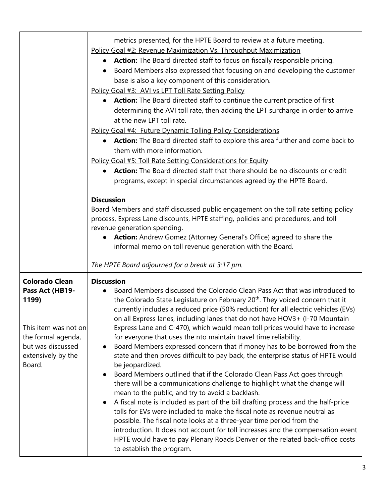|                                                                                                                                                      | metrics presented, for the HPTE Board to review at a future meeting.<br>Policy Goal #2: Revenue Maximization Vs. Throughput Maximization<br>Action: The Board directed staff to focus on fiscally responsible pricing.<br>Board Members also expressed that focusing on and developing the customer<br>base is also a key component of this consideration.<br>Policy Goal #3: AVI vs LPT Toll Rate Setting Policy<br>Action: The Board directed staff to continue the current practice of first<br>$\bullet$<br>determining the AVI toll rate, then adding the LPT surcharge in order to arrive<br>at the new LPT toll rate.<br>Policy Goal #4: Future Dynamic Tolling Policy Considerations<br>Action: The Board directed staff to explore this area further and come back to<br>them with more information.<br>Policy Goal #5: Toll Rate Setting Considerations for Equity<br><b>Action:</b> The Board directed staff that there should be no discounts or credit<br>programs, except in special circumstances agreed by the HPTE Board.<br><b>Discussion</b><br>Board Members and staff discussed public engagement on the toll rate setting policy<br>process, Express Lane discounts, HPTE staffing, policies and procedures, and toll<br>revenue generation spending.<br>Action: Andrew Gomez (Attorney General's Office) agreed to share the<br>$\bullet$                                        |
|------------------------------------------------------------------------------------------------------------------------------------------------------|---------------------------------------------------------------------------------------------------------------------------------------------------------------------------------------------------------------------------------------------------------------------------------------------------------------------------------------------------------------------------------------------------------------------------------------------------------------------------------------------------------------------------------------------------------------------------------------------------------------------------------------------------------------------------------------------------------------------------------------------------------------------------------------------------------------------------------------------------------------------------------------------------------------------------------------------------------------------------------------------------------------------------------------------------------------------------------------------------------------------------------------------------------------------------------------------------------------------------------------------------------------------------------------------------------------------------------------------------------------------------------------------------------|
|                                                                                                                                                      | informal memo on toll revenue generation with the Board.<br>The HPTE Board adjourned for a break at 3:17 pm.                                                                                                                                                                                                                                                                                                                                                                                                                                                                                                                                                                                                                                                                                                                                                                                                                                                                                                                                                                                                                                                                                                                                                                                                                                                                                            |
| <b>Colorado Clean</b><br>Pass Act (HB19-<br>1199)<br>This item was not on<br>the formal agenda,<br>but was discussed<br>extensively by the<br>Board. | <b>Discussion</b><br>Board Members discussed the Colorado Clean Pass Act that was introduced to<br>the Colorado State Legislature on February 20 <sup>th</sup> . They voiced concern that it<br>currently includes a reduced price (50% reduction) for all electric vehicles (EVs)<br>on all Express lanes, including lanes that do not have HOV3+ (I-70 Mountain<br>Express Lane and C-470), which would mean toll prices would have to increase<br>for everyone that uses the nto maintain travel time reliability.<br>Board Members expressed concern that if money has to be borrowed from the<br>$\bullet$<br>state and then proves difficult to pay back, the enterprise status of HPTE would<br>be jeopardized.<br>Board Members outlined that if the Colorado Clean Pass Act goes through<br>$\bullet$<br>there will be a communications challenge to highlight what the change will<br>mean to the public, and try to avoid a backlash.<br>A fiscal note is included as part of the bill drafting process and the half-price<br>$\bullet$<br>tolls for EVs were included to make the fiscal note as revenue neutral as<br>possible. The fiscal note looks at a three-year time period from the<br>introduction. It does not account for toll increases and the compensation event<br>HPTE would have to pay Plenary Roads Denver or the related back-office costs<br>to establish the program. |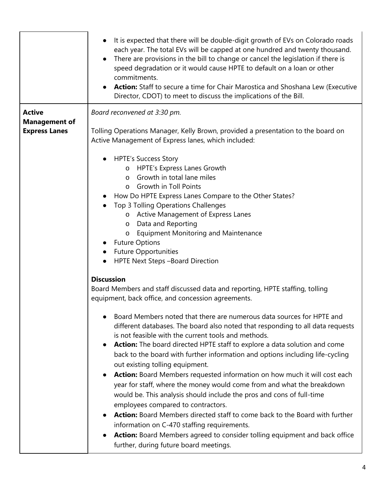|                                                               | It is expected that there will be double-digit growth of EVs on Colorado roads<br>$\bullet$<br>each year. The total EVs will be capped at one hundred and twenty thousand.<br>There are provisions in the bill to change or cancel the legislation if there is<br>$\bullet$<br>speed degradation or it would cause HPTE to default on a loan or other<br>commitments.<br><b>Action:</b> Staff to secure a time for Chair Marostica and Shoshana Lew (Executive<br>$\bullet$<br>Director, CDOT) to meet to discuss the implications of the Bill.                                                                                                                                                                                                                                                                                                                                                                                                                                                                                                                                                                                                     |
|---------------------------------------------------------------|-----------------------------------------------------------------------------------------------------------------------------------------------------------------------------------------------------------------------------------------------------------------------------------------------------------------------------------------------------------------------------------------------------------------------------------------------------------------------------------------------------------------------------------------------------------------------------------------------------------------------------------------------------------------------------------------------------------------------------------------------------------------------------------------------------------------------------------------------------------------------------------------------------------------------------------------------------------------------------------------------------------------------------------------------------------------------------------------------------------------------------------------------------|
| <b>Active</b><br><b>Management of</b><br><b>Express Lanes</b> | Board reconvened at 3:30 pm.<br>Tolling Operations Manager, Kelly Brown, provided a presentation to the board on<br>Active Management of Express lanes, which included:<br><b>HPTE's Success Story</b><br>o HPTE's Express Lanes Growth<br>Growth in total lane miles<br>$\circ$<br>o Growth in Toll Points<br>How Do HPTE Express Lanes Compare to the Other States?<br>Top 3 Tolling Operations Challenges                                                                                                                                                                                                                                                                                                                                                                                                                                                                                                                                                                                                                                                                                                                                        |
|                                                               | o Active Management of Express Lanes<br>o Data and Reporting<br><b>Equipment Monitoring and Maintenance</b><br>$\circ$<br><b>Future Options</b><br><b>Future Opportunities</b><br>HPTE Next Steps -Board Direction<br><b>Discussion</b>                                                                                                                                                                                                                                                                                                                                                                                                                                                                                                                                                                                                                                                                                                                                                                                                                                                                                                             |
|                                                               | Board Members and staff discussed data and reporting, HPTE staffing, tolling<br>equipment, back office, and concession agreements.<br>Board Members noted that there are numerous data sources for HPTE and<br>different databases. The board also noted that responding to all data requests<br>is not feasible with the current tools and methods.<br>Action: The board directed HPTE staff to explore a data solution and come<br>$\bullet$<br>back to the board with further information and options including life-cycling<br>out existing tolling equipment.<br><b>Action:</b> Board Members requested information on how much it will cost each<br>$\bullet$<br>year for staff, where the money would come from and what the breakdown<br>would be. This analysis should include the pros and cons of full-time<br>employees compared to contractors.<br><b>Action:</b> Board Members directed staff to come back to the Board with further<br>$\bullet$<br>information on C-470 staffing requirements.<br>Action: Board Members agreed to consider tolling equipment and back office<br>$\bullet$<br>further, during future board meetings. |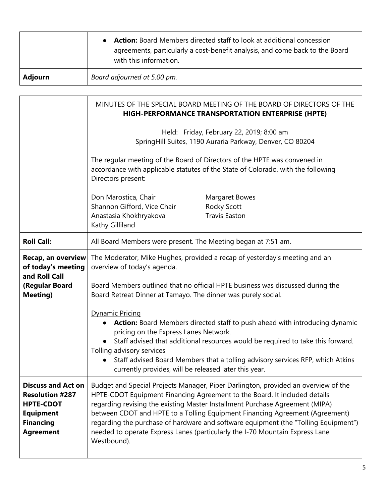|         | <b>Action:</b> Board Members directed staff to look at additional concession<br>agreements, particularly a cost-benefit analysis, and come back to the Board<br>with this information. |
|---------|----------------------------------------------------------------------------------------------------------------------------------------------------------------------------------------|
| Adjourn | Board adjourned at 5.00 pm.                                                                                                                                                            |

|                                                                                                                                     | MINUTES OF THE SPECIAL BOARD MEETING OF THE BOARD OF DIRECTORS OF THE<br><b>HIGH-PERFORMANCE TRANSPORTATION ENTERPRISE (HPTE)</b>                                                                                                                                                                                                                                                                                                                                                                                     |
|-------------------------------------------------------------------------------------------------------------------------------------|-----------------------------------------------------------------------------------------------------------------------------------------------------------------------------------------------------------------------------------------------------------------------------------------------------------------------------------------------------------------------------------------------------------------------------------------------------------------------------------------------------------------------|
|                                                                                                                                     | Held: Friday, February 22, 2019; 8:00 am<br>SpringHill Suites, 1190 Auraria Parkway, Denver, CO 80204                                                                                                                                                                                                                                                                                                                                                                                                                 |
|                                                                                                                                     | The regular meeting of the Board of Directors of the HPTE was convened in<br>accordance with applicable statutes of the State of Colorado, with the following<br>Directors present:                                                                                                                                                                                                                                                                                                                                   |
|                                                                                                                                     | Don Marostica, Chair<br>Margaret Bowes<br>Shannon Gifford, Vice Chair<br><b>Rocky Scott</b><br><b>Travis Easton</b><br>Anastasia Khokhryakova<br>Kathy Gilliland                                                                                                                                                                                                                                                                                                                                                      |
| <b>Roll Call:</b>                                                                                                                   | All Board Members were present. The Meeting began at 7:51 am.                                                                                                                                                                                                                                                                                                                                                                                                                                                         |
| Recap, an overview<br>of today's meeting<br>and Roll Call<br>(Regular Board<br><b>Meeting)</b>                                      | The Moderator, Mike Hughes, provided a recap of yesterday's meeting and an<br>overview of today's agenda.<br>Board Members outlined that no official HPTE business was discussed during the<br>Board Retreat Dinner at Tamayo. The dinner was purely social.<br><b>Dynamic Pricing</b>                                                                                                                                                                                                                                |
|                                                                                                                                     | <b>Action:</b> Board Members directed staff to push ahead with introducing dynamic<br>pricing on the Express Lanes Network.<br>Staff advised that additional resources would be required to take this forward.<br>Tolling advisory services<br>• Staff advised Board Members that a tolling advisory services RFP, which Atkins<br>currently provides, will be released later this year.                                                                                                                              |
| <b>Discuss and Act on</b><br><b>Resolution #287</b><br><b>HPTE-CDOT</b><br><b>Equipment</b><br><b>Financing</b><br><b>Agreement</b> | Budget and Special Projects Manager, Piper Darlington, provided an overview of the<br>HPTE-CDOT Equipment Financing Agreement to the Board. It included details<br>regarding revising the existing Master Installment Purchase Agreement (MIPA)<br>between CDOT and HPTE to a Tolling Equipment Financing Agreement (Agreement)<br>regarding the purchase of hardware and software equipment (the "Tolling Equipment")<br>needed to operate Express Lanes (particularly the I-70 Mountain Express Lane<br>Westbound). |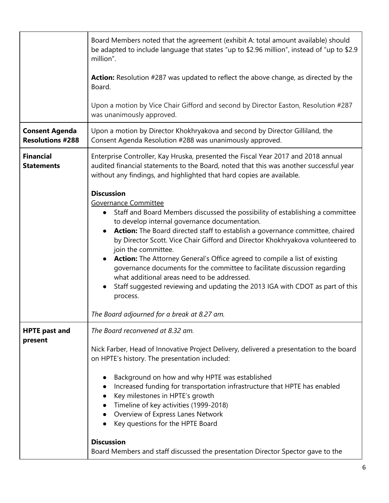| Board Members noted that the agreement (exhibit A: total amount available) should<br>be adapted to include language that states "up to \$2.96 million", instead of "up to \$2.9<br>million".                                                                                                                                                                                                                                                                                                                                                                                                                                                                                                                                                                       |
|--------------------------------------------------------------------------------------------------------------------------------------------------------------------------------------------------------------------------------------------------------------------------------------------------------------------------------------------------------------------------------------------------------------------------------------------------------------------------------------------------------------------------------------------------------------------------------------------------------------------------------------------------------------------------------------------------------------------------------------------------------------------|
| Action: Resolution #287 was updated to reflect the above change, as directed by the<br>Board.                                                                                                                                                                                                                                                                                                                                                                                                                                                                                                                                                                                                                                                                      |
| Upon a motion by Vice Chair Gifford and second by Director Easton, Resolution #287<br>was unanimously approved.                                                                                                                                                                                                                                                                                                                                                                                                                                                                                                                                                                                                                                                    |
| Upon a motion by Director Khokhryakova and second by Director Gilliland, the<br>Consent Agenda Resolution #288 was unanimously approved.                                                                                                                                                                                                                                                                                                                                                                                                                                                                                                                                                                                                                           |
| Enterprise Controller, Kay Hruska, presented the Fiscal Year 2017 and 2018 annual<br>audited financial statements to the Board, noted that this was another successful year<br>without any findings, and highlighted that hard copies are available.                                                                                                                                                                                                                                                                                                                                                                                                                                                                                                               |
| <b>Discussion</b><br>Governance Committee<br>Staff and Board Members discussed the possibility of establishing a committee<br>$\bullet$<br>to develop internal governance documentation.<br>Action: The Board directed staff to establish a governance committee, chaired<br>$\bullet$<br>by Director Scott. Vice Chair Gifford and Director Khokhryakova volunteered to<br>join the committee.<br>Action: The Attorney General's Office agreed to compile a list of existing<br>$\bullet$<br>governance documents for the committee to facilitate discussion regarding<br>what additional areas need to be addressed.<br>Staff suggested reviewing and updating the 2013 IGA with CDOT as part of this<br>process.<br>The Board adjourned for a break at 8.27 am. |
| The Board reconvened at 8.32 am.<br>Nick Farber, Head of Innovative Project Delivery, delivered a presentation to the board<br>on HPTE's history. The presentation included:<br>Background on how and why HPTE was established<br>Increased funding for transportation infrastructure that HPTE has enabled<br>Key milestones in HPTE's growth<br>Timeline of key activities (1999-2018)<br>Overview of Express Lanes Network<br>Key questions for the HPTE Board<br><b>Discussion</b><br>Board Members and staff discussed the presentation Director Spector gave to the                                                                                                                                                                                          |
|                                                                                                                                                                                                                                                                                                                                                                                                                                                                                                                                                                                                                                                                                                                                                                    |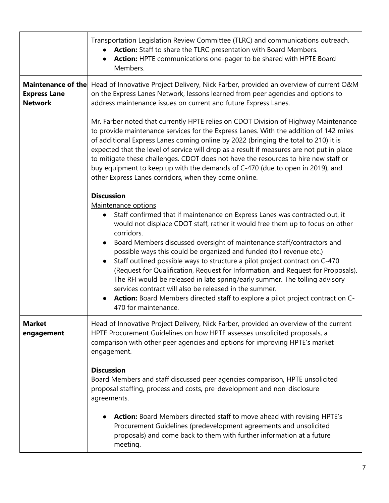|                                       | Transportation Legislation Review Committee (TLRC) and communications outreach.<br>Action: Staff to share the TLRC presentation with Board Members.<br>Action: HPTE communications one-pager to be shared with HPTE Board<br>$\bullet$<br>Members.                                                                                                                                                                                                                                                                                                                                                                                                                                                                                                                                                          |
|---------------------------------------|-------------------------------------------------------------------------------------------------------------------------------------------------------------------------------------------------------------------------------------------------------------------------------------------------------------------------------------------------------------------------------------------------------------------------------------------------------------------------------------------------------------------------------------------------------------------------------------------------------------------------------------------------------------------------------------------------------------------------------------------------------------------------------------------------------------|
| <b>Express Lane</b><br><b>Network</b> | Maintenance of the Head of Innovative Project Delivery, Nick Farber, provided an overview of current O&M<br>on the Express Lanes Network, lessons learned from peer agencies and options to<br>address maintenance issues on current and future Express Lanes.                                                                                                                                                                                                                                                                                                                                                                                                                                                                                                                                              |
|                                       | Mr. Farber noted that currently HPTE relies on CDOT Division of Highway Maintenance<br>to provide maintenance services for the Express Lanes. With the addition of 142 miles<br>of additional Express Lanes coming online by 2022 (bringing the total to 210) it is<br>expected that the level of service will drop as a result if measures are not put in place<br>to mitigate these challenges. CDOT does not have the resources to hire new staff or<br>buy equipment to keep up with the demands of C-470 (due to open in 2019), and<br>other Express Lanes corridors, when they come online.                                                                                                                                                                                                           |
|                                       | <b>Discussion</b><br>Maintenance options<br>Staff confirmed that if maintenance on Express Lanes was contracted out, it<br>$\bullet$<br>would not displace CDOT staff, rather it would free them up to focus on other<br>corridors.<br>Board Members discussed oversight of maintenance staff/contractors and<br>possible ways this could be organized and funded (toll revenue etc.)<br>Staff outlined possible ways to structure a pilot project contract on C-470<br>(Request for Qualification, Request for Information, and Request for Proposals).<br>The RFI would be released in late spring/early summer. The tolling advisory<br>services contract will also be released in the summer.<br>Action: Board Members directed staff to explore a pilot project contract on C-<br>470 for maintenance. |
| <b>Market</b><br>engagement           | Head of Innovative Project Delivery, Nick Farber, provided an overview of the current<br>HPTE Procurement Guidelines on how HPTE assesses unsolicited proposals, a<br>comparison with other peer agencies and options for improving HPTE's market<br>engagement.                                                                                                                                                                                                                                                                                                                                                                                                                                                                                                                                            |
|                                       | <b>Discussion</b><br>Board Members and staff discussed peer agencies comparison, HPTE unsolicited<br>proposal staffing, process and costs, pre-development and non-disclosure<br>agreements.                                                                                                                                                                                                                                                                                                                                                                                                                                                                                                                                                                                                                |
|                                       | <b>Action:</b> Board Members directed staff to move ahead with revising HPTE's<br>Procurement Guidelines (predevelopment agreements and unsolicited<br>proposals) and come back to them with further information at a future<br>meeting.                                                                                                                                                                                                                                                                                                                                                                                                                                                                                                                                                                    |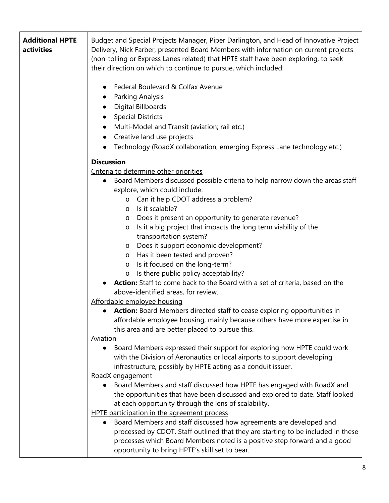| <b>Additional HPTE</b><br>activities | Budget and Special Projects Manager, Piper Darlington, and Head of Innovative Project<br>Delivery, Nick Farber, presented Board Members with information on current projects<br>(non-tolling or Express Lanes related) that HPTE staff have been exploring, to seek<br>their direction on which to continue to pursue, which included:<br>Federal Boulevard & Colfax Avenue<br>Parking Analysis<br>$\bullet$<br>Digital Billboards<br><b>Special Districts</b><br>Multi-Model and Transit (aviation; rail etc.)                                                                                                                                                                                                                                                                                                                                                                                                                |
|--------------------------------------|--------------------------------------------------------------------------------------------------------------------------------------------------------------------------------------------------------------------------------------------------------------------------------------------------------------------------------------------------------------------------------------------------------------------------------------------------------------------------------------------------------------------------------------------------------------------------------------------------------------------------------------------------------------------------------------------------------------------------------------------------------------------------------------------------------------------------------------------------------------------------------------------------------------------------------|
|                                      | Creative land use projects<br>$\bullet$                                                                                                                                                                                                                                                                                                                                                                                                                                                                                                                                                                                                                                                                                                                                                                                                                                                                                        |
|                                      | Technology (RoadX collaboration; emerging Express Lane technology etc.)                                                                                                                                                                                                                                                                                                                                                                                                                                                                                                                                                                                                                                                                                                                                                                                                                                                        |
|                                      | <b>Discussion</b>                                                                                                                                                                                                                                                                                                                                                                                                                                                                                                                                                                                                                                                                                                                                                                                                                                                                                                              |
|                                      | Criteria to determine other priorities<br>Board Members discussed possible criteria to help narrow down the areas staff<br>$\bullet$<br>explore, which could include:<br>o Can it help CDOT address a problem?<br>Is it scalable?<br>$\circ$<br>Does it present an opportunity to generate revenue?<br>O<br>Is it a big project that impacts the long term viability of the<br>$\circ$<br>transportation system?<br>Does it support economic development?<br>$\circ$<br>Has it been tested and proven?<br>$\circ$<br>Is it focused on the long-term?<br>$\circ$<br>Is there public policy acceptability?<br><b>Action:</b> Staff to come back to the Board with a set of criteria, based on the<br>above-identified areas, for review.<br>Affordable employee housing<br>Action: Board Members directed staff to cease exploring opportunities in<br>affordable employee housing, mainly because others have more expertise in |
|                                      | this area and are better placed to pursue this.                                                                                                                                                                                                                                                                                                                                                                                                                                                                                                                                                                                                                                                                                                                                                                                                                                                                                |
|                                      | <b>Aviation</b>                                                                                                                                                                                                                                                                                                                                                                                                                                                                                                                                                                                                                                                                                                                                                                                                                                                                                                                |
|                                      | Board Members expressed their support for exploring how HPTE could work<br>with the Division of Aeronautics or local airports to support developing<br>infrastructure, possibly by HPTE acting as a conduit issuer.                                                                                                                                                                                                                                                                                                                                                                                                                                                                                                                                                                                                                                                                                                            |
|                                      | RoadX engagement<br>Board Members and staff discussed how HPTE has engaged with RoadX and<br>the opportunities that have been discussed and explored to date. Staff looked<br>at each opportunity through the lens of scalability.<br>HPTE participation in the agreement process                                                                                                                                                                                                                                                                                                                                                                                                                                                                                                                                                                                                                                              |
|                                      | Board Members and staff discussed how agreements are developed and<br>processed by CDOT. Staff outlined that they are starting to be included in these<br>processes which Board Members noted is a positive step forward and a good<br>opportunity to bring HPTE's skill set to bear.                                                                                                                                                                                                                                                                                                                                                                                                                                                                                                                                                                                                                                          |